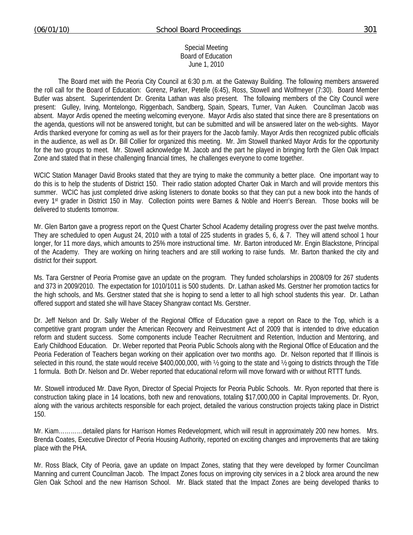Special Meeting Board of Education June 1, 2010

 The Board met with the Peoria City Council at 6:30 p.m. at the Gateway Building. The following members answered the roll call for the Board of Education: Gorenz, Parker, Petelle (6:45), Ross, Stowell and Wolfmeyer (7:30). Board Member Butler was absent. Superintendent Dr. Grenita Lathan was also present. The following members of the City Council were present: Gulley, Irving, Montelongo, Riggenbach, Sandberg, Spain, Spears, Turner, Van Auken. Councilman Jacob was absent. Mayor Ardis opened the meeting welcoming everyone. Mayor Ardis also stated that since there are 8 presentations on the agenda, questions will not be answered tonight, but can be submitted and will be answered later on the web-sights. Mayor Ardis thanked everyone for coming as well as for their prayers for the Jacob family. Mayor Ardis then recognized public officials in the audience, as well as Dr. Bill Collier for organized this meeting. Mr. Jim Stowell thanked Mayor Ardis for the opportunity for the two groups to meet. Mr. Stowell acknowledge M. Jacob and the part he played in bringing forth the Glen Oak Impact Zone and stated that in these challenging financial times, he challenges everyone to come together.

WCIC Station Manager David Brooks stated that they are trying to make the community a better place. One important way to do this is to help the students of District 150. Their radio station adopted Charter Oak in March and will provide mentors this summer. WCIC has just completed drive asking listeners to donate books so that they can put a new book into the hands of every 1st grader in District 150 in May. Collection points were Barnes & Noble and Hoerr's Berean. Those books will be delivered to students tomorrow.

Mr. Glen Barton gave a progress report on the Quest Charter School Academy detailing progress over the past twelve months. They are scheduled to open August 24, 2010 with a total of 225 students in grades 5, 6, & 7. They will attend school 1 hour longer, for 11 more days, which amounts to 25% more instructional time. Mr. Barton introduced Mr. Engin Blackstone, Principal of the Academy. They are working on hiring teachers and are still working to raise funds. Mr. Barton thanked the city and district for their support.

Ms. Tara Gerstner of Peoria Promise gave an update on the program. They funded scholarships in 2008/09 for 267 students and 373 in 2009/2010. The expectation for 1010/1011 is 500 students. Dr. Lathan asked Ms. Gerstner her promotion tactics for the high schools, and Ms. Gerstner stated that she is hoping to send a letter to all high school students this year. Dr. Lathan offered support and stated she will have Stacey Shangraw contact Ms. Gerstner.

Dr. Jeff Nelson and Dr. Sally Weber of the Regional Office of Education gave a report on Race to the Top, which is a competitive grant program under the American Recovery and Reinvestment Act of 2009 that is intended to drive education reform and student success. Some components include Teacher Recruitment and Retention, Induction and Mentoring, and Early Childhood Education. Dr. Weber reported that Peoria Public Schools along with the Regional Office of Education and the Peoria Federation of Teachers began working on their application over two months ago. Dr. Nelson reported that If Illinois is selected in this round, the state would receive \$400,000,000, with ½ going to the state and ½ going to districts through the Title 1 formula. Both Dr. Nelson and Dr. Weber reported that educational reform will move forward with or without RTTT funds.

Mr. Stowell introduced Mr. Dave Ryon, Director of Special Projects for Peoria Public Schools. Mr. Ryon reported that there is construction taking place in 14 locations, both new and renovations, totaling \$17,000,000 in Capital Improvements. Dr. Ryon, along with the various architects responsible for each project, detailed the various construction projects taking place in District 150.

Mr. Kiam…………detailed plans for Harrison Homes Redevelopment, which will result in approximately 200 new homes. Mrs. Brenda Coates, Executive Director of Peoria Housing Authority, reported on exciting changes and improvements that are taking place with the PHA.

Mr. Ross Black, City of Peoria, gave an update on Impact Zones, stating that they were developed by former Councilman Manning and current Councilman Jacob. The Impact Zones focus on improving city services in a 2 block area around the new Glen Oak School and the new Harrison School. Mr. Black stated that the Impact Zones are being developed thanks to